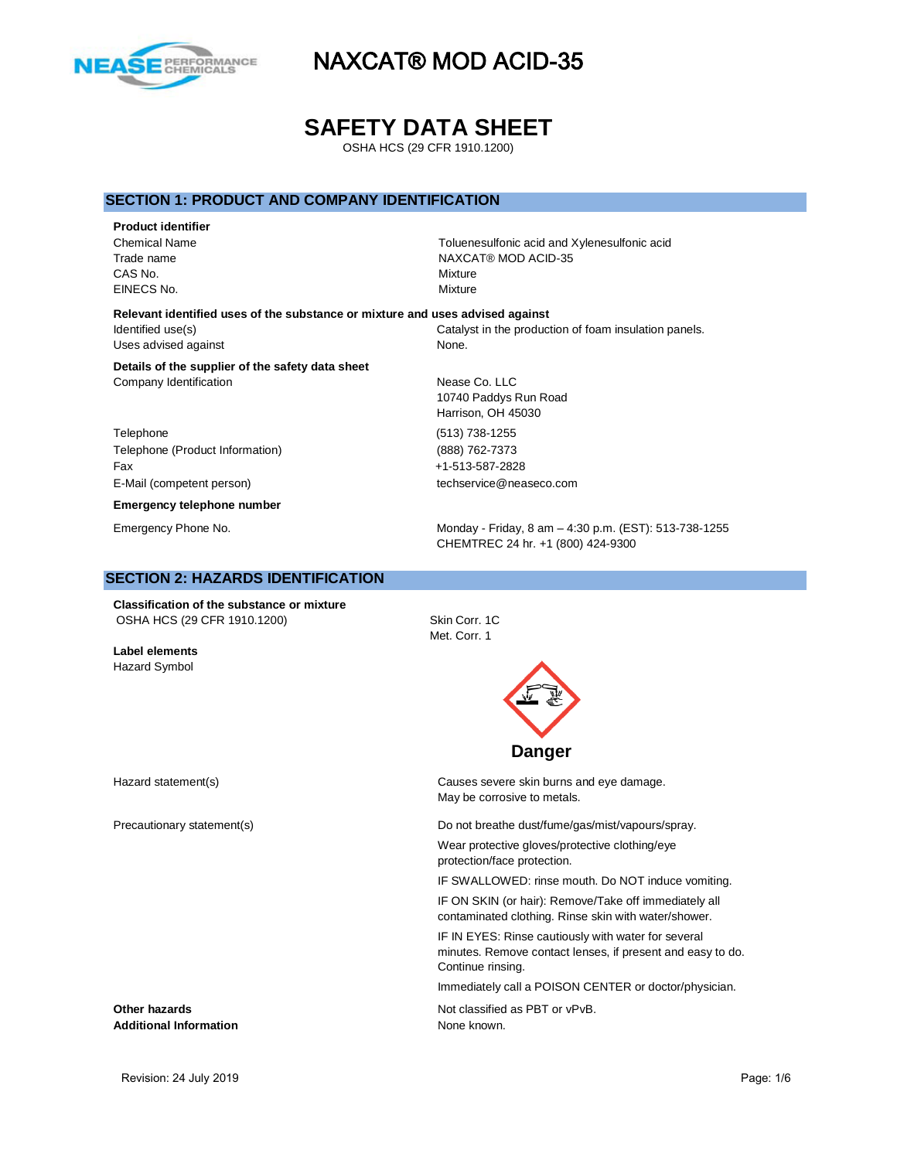

**SAFETY DATA SHEET**

OSHA HCS (29 CFR 1910.1200)

# **SECTION 1: PRODUCT AND COMPANY IDENTIFICATION**

**Product identifier** CAS No. **Mixture** EINECS No. Mixture

Chemical Name Toluenesulfonic acid and Xylenesulfonic acid Trade name NAXCAT® MOD ACID-35

> 10740 Paddys Run Road Harrison, OH 45030

**Relevant identified uses of the substance or mixture and uses advised against** Identified use(s) Catalyst in the production of foam insulation panels. Uses advised against None.

**Details of the supplier of the safety data sheet** Company Identification **Nease Co. LLC** 

Telephone (513) 738-1255 Telephone (Product Information) (888) 762-7373 Fax +1-513-587-2828 E-Mail (competent person) techservice@neaseco.com

**Emergency telephone number**

Emergency Phone No. **Monday - Friday, 8 am – 4:30 p.m. (EST): 513-738-1255** CHEMTREC 24 hr. +1 (800) 424-9300

### **SECTION 2: HAZARDS IDENTIFICATION**

**Classification of the substance or mixture** OSHA HCS (29 CFR 1910.1200) Skin Corr. 1C

**Label elements** Hazard Symbol

Met. Corr. 1



Hazard statement(s) The Causes severe skin burns and eye damage. May be corrosive to metals.

Precautionary statement(s) example and the Do not breathe dust/fume/gas/mist/vapours/spray.

Wear protective gloves/protective clothing/eye protection/face protection.

IF SWALLOWED: rinse mouth. Do NOT induce vomiting.

IF ON SKIN (or hair): Remove/Take off immediately all contaminated clothing. Rinse skin with water/shower.

IF IN EYES: Rinse cautiously with water for several minutes. Remove contact lenses, if present and easy to do. Continue rinsing.

Immediately call a POISON CENTER or doctor/physician.

**Other hazards Other hazards Not classified as PBT or vPvB.** 

Additional Information **None known.** None known.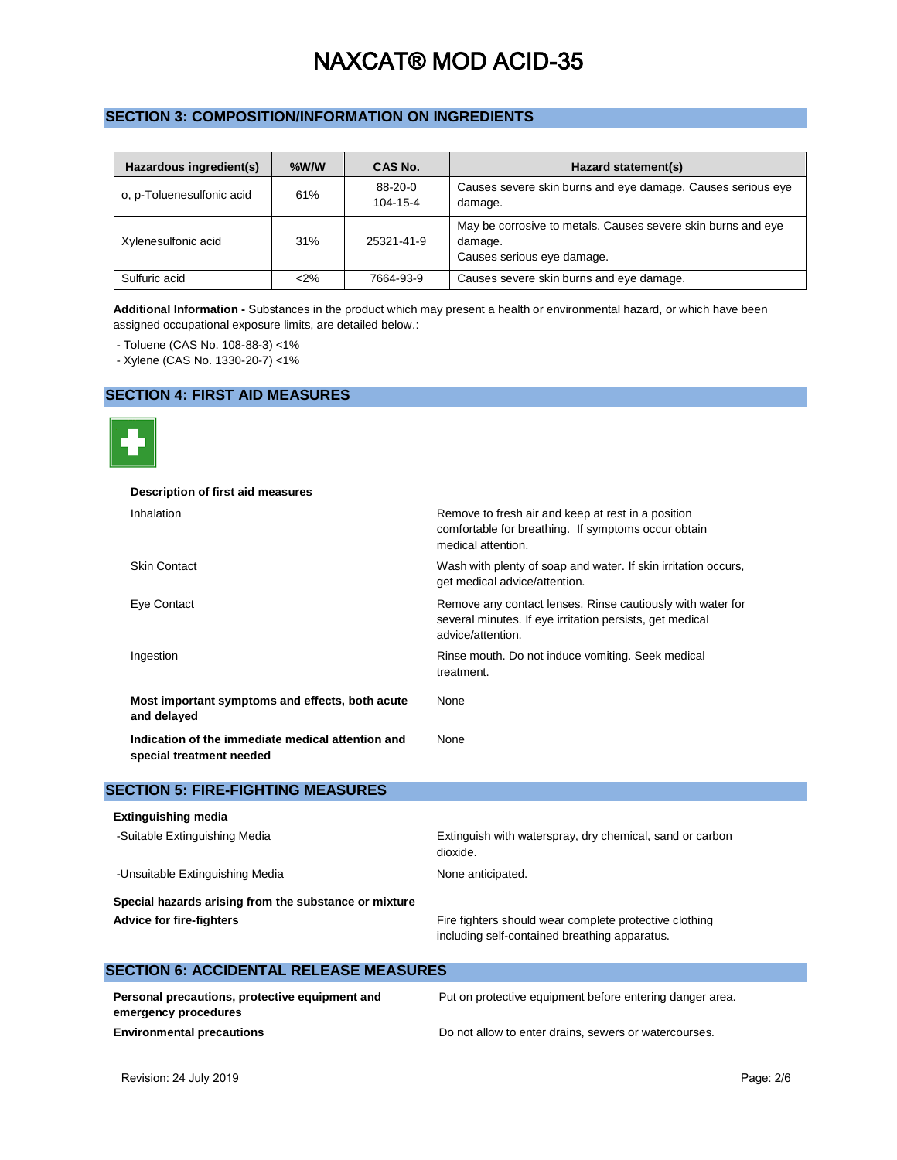# **SECTION 3: COMPOSITION/INFORMATION ON INGREDIENTS**

| Hazardous ingredient(s)   | $%$ W/W | CAS No.               | Hazard statement(s)                                                                                   |
|---------------------------|---------|-----------------------|-------------------------------------------------------------------------------------------------------|
| o, p-Toluenesulfonic acid | 61%     | $88-20-0$<br>104-15-4 | Causes severe skin burns and eye damage. Causes serious eye<br>damage.                                |
| Xylenesulfonic acid       | 31%     | 25321-41-9            | May be corrosive to metals. Causes severe skin burns and eye<br>damage.<br>Causes serious eye damage. |
| Sulfuric acid             | $2\%$   | 7664-93-9             | Causes severe skin burns and eye damage.                                                              |

**Additional Information -** Substances in the product which may present a health or environmental hazard, or which have been assigned occupational exposure limits, are detailed below.:

- Toluene (CAS No. 108-88-3) <1%

- Xylene (CAS No. 1330-20-7) <1%

# **SECTION 4: FIRST AID MEASURES**



| Description of first aid measures                                             |                                                                                                                                             |
|-------------------------------------------------------------------------------|---------------------------------------------------------------------------------------------------------------------------------------------|
| Inhalation                                                                    | Remove to fresh air and keep at rest in a position<br>comfortable for breathing. If symptoms occur obtain<br>medical attention.             |
| <b>Skin Contact</b>                                                           | Wash with plenty of soap and water. If skin irritation occurs,<br>get medical advice/attention.                                             |
| Eye Contact                                                                   | Remove any contact lenses. Rinse cautiously with water for<br>several minutes. If eye irritation persists, get medical<br>advice/attention. |
| Ingestion                                                                     | Rinse mouth. Do not induce vomiting. Seek medical<br>treatment.                                                                             |
| Most important symptoms and effects, both acute<br>and delayed                | None                                                                                                                                        |
| Indication of the immediate medical attention and<br>special treatment needed | None                                                                                                                                        |

# **SECTION 5: FIRE-FIGHTING MEASURES**

**SECTION 6: ACCIDENTAL RELEASE MEASURES**

| <b>Extinguishing media</b>                            |                                                                                                         |
|-------------------------------------------------------|---------------------------------------------------------------------------------------------------------|
| -Suitable Extinguishing Media                         | Extinguish with waterspray, dry chemical, sand or carbon<br>dioxide.                                    |
| -Unsuitable Extinguishing Media                       | None anticipated.                                                                                       |
| Special hazards arising from the substance or mixture |                                                                                                         |
| <b>Advice for fire-fighters</b>                       | Fire fighters should wear complete protective clothing<br>including self-contained breathing apparatus. |

| Personal precautions, protective equipment and<br>emergency procedures | Put on protective equipment before entering danger area. |
|------------------------------------------------------------------------|----------------------------------------------------------|
| <b>Environmental precautions</b>                                       | Do not allow to enter drains, sewers or watercourses.    |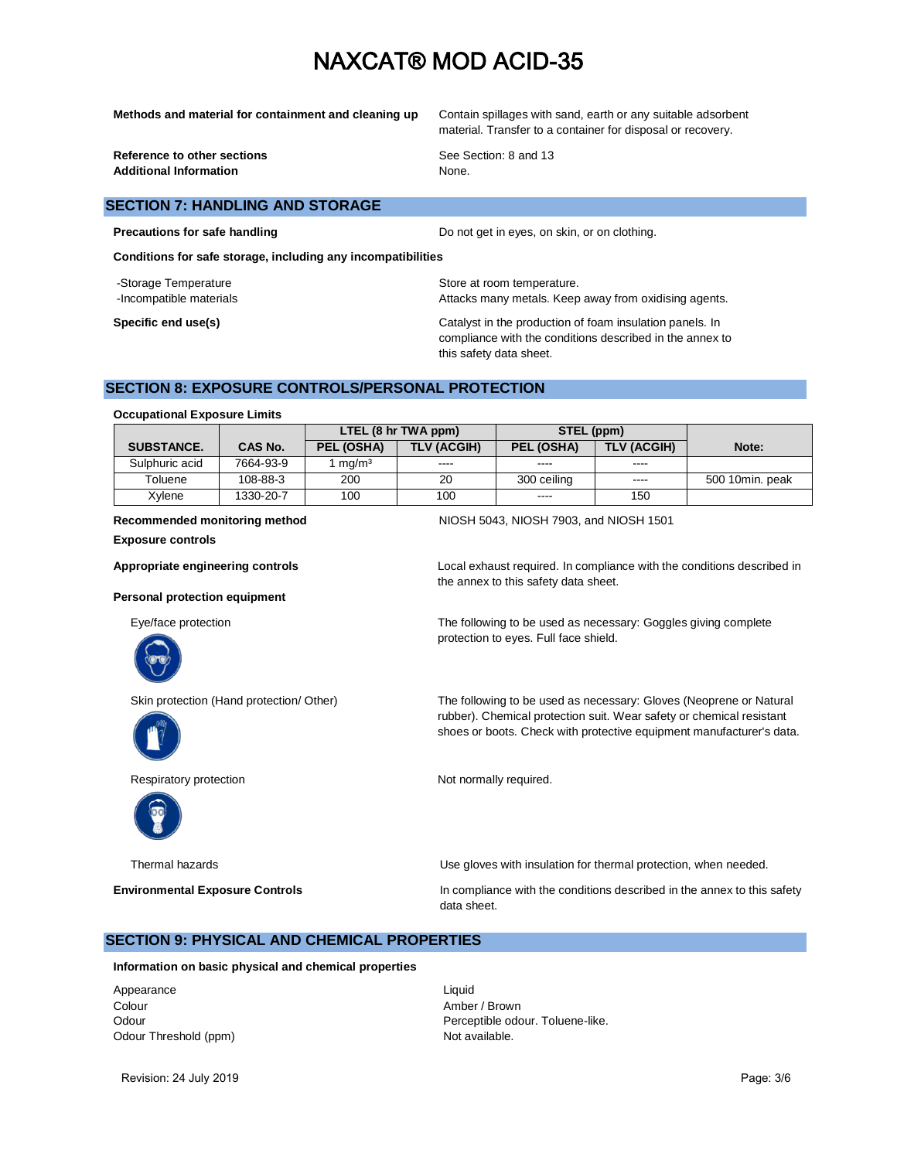**Methods and material for containment and cleaning up** Contain spillages with sand, earth or any suitable adsorbent material. Transfer to a container for disposal or recovery.

**Reference to other sections** See Section: 8 and 13 Additional Information **None.** None.

### **SECTION 7: HANDLING AND STORAGE**

**Precautions for safe handling Do not get in eyes, on skin, or on clothing.** 

**Conditions for safe storage, including any incompatibilities**

-Storage Temperature **Storage Temperature** Store at room temperature.

-Incompatible materials **Attacks many metals. Keep away from oxidising agents**.

**Specific end use(s) Catalyst in the production of foam insulation panels. In** compliance with the conditions described in the annex to this safety data sheet.

# **SECTION 8: EXPOSURE CONTROLS/PERSONAL PROTECTION**

#### **Occupational Exposure Limits**

|                   |                | LTEL (8 hr TWA ppm) |                    | STEL (ppm)  |             |                 |
|-------------------|----------------|---------------------|--------------------|-------------|-------------|-----------------|
| <b>SUBSTANCE.</b> | <b>CAS No.</b> | PEL (OSHA)          | <b>TLV (ACGIH)</b> | PEL (OSHA)  | TLV (ACGIH) | Note:           |
| Sulphuric acid    | 7664-93-9      | mq/m <sup>3</sup>   | ----               | ----        | ----        |                 |
| Toluene           | 108-88-3       | 200                 | 20                 | 300 ceiling | ----        | 500 10min, peak |
| Xylene            | 1330-20-7      | 100                 | 100                | $\cdots$    | 150         |                 |

#### **Recommended monitoring method** NIOSH 5043, NIOSH 7903, and NIOSH 1501

**Exposure controls**

#### **Personal protection equipment**





**Appropriate engineering controls** Local exhaust required. In compliance with the conditions described in the annex to this safety data sheet.

Eye/face protection The following to be used as necessary: Goggles giving complete protection to eyes. Full face shield.

Skin protection (Hand protection/ Other) The following to be used as necessary: Gloves (Neoprene or Natural rubber). Chemical protection suit. Wear safety or chemical resistant shoes or boots. Check with protective equipment manufacturer's data.

Respiratory protection Not normally required.



Thermal hazards Use gloves with insulation for thermal protection, when needed.

**Environmental Exposure Controls In compliance with the conditions described in the annex to this safety** data sheet.

### **SECTION 9: PHYSICAL AND CHEMICAL PROPERTIES**

**Information on basic physical and chemical properties**

Appearance Liquid Colour **Amber / Brown** Odour Threshold (ppm) Not available.

Odour **Perceptible odour.** Toluene-like.

Revision: 24 July 2019 **Page: 3/6** Page: 3/6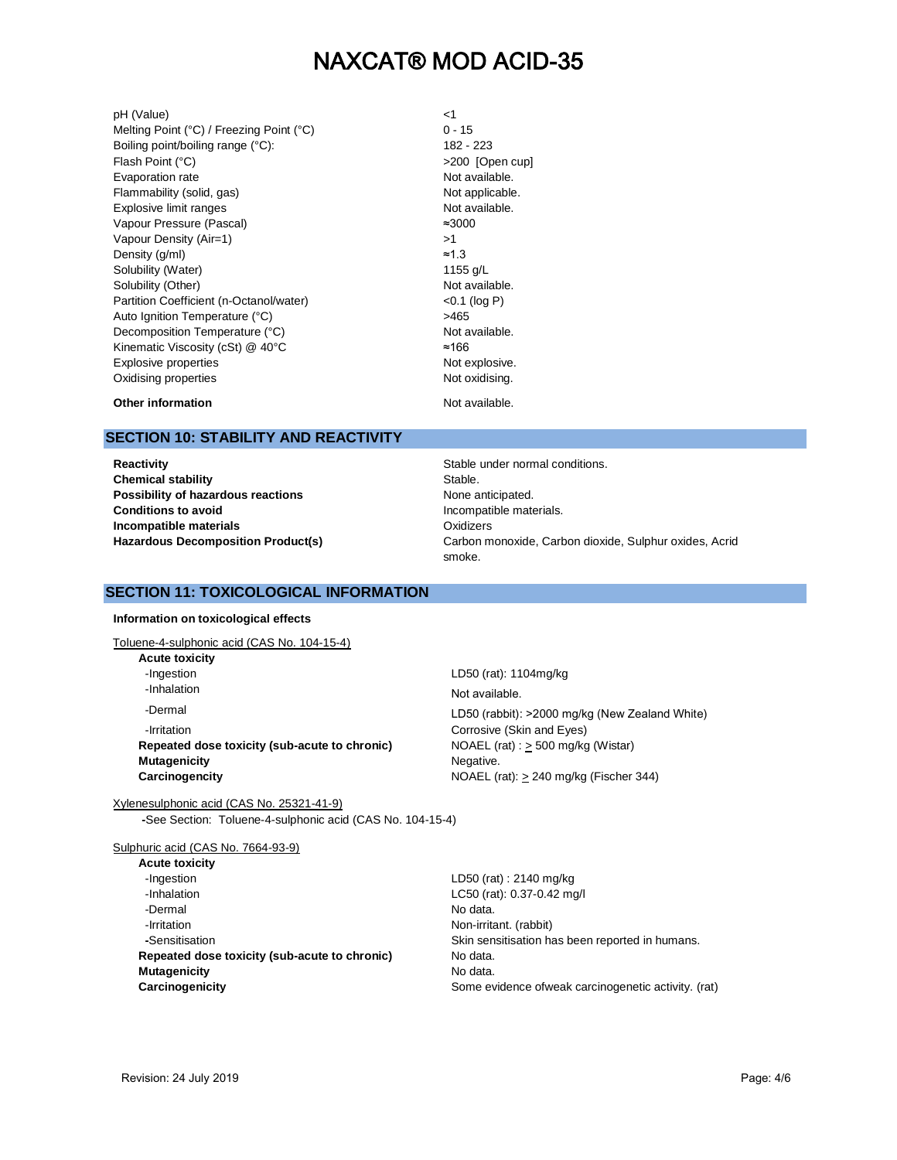pH (Value)  $\leq 1$ <br>Melting Point (°C) / Freezing Point (°C)  $\leq 15$ Melting Point (°C) / Freezing Point (°C) Boiling point/boiling range (°C): 182 - 223 Flash Point (°C)  $>200$  [Open cup] Evaporation rate **Not available**. Flammability (solid, gas) Not applicable. Explosive limit ranges Not available. Vapour Pressure (Pascal) ≈3000 Vapour Density (Air=1) >1 Density (g/ml)  $\approx$  1.3 Solubility (Water) 2008 1155 g/L Solubility (Other) Not available. Partition Coefficient (n-Octanol/water) <0.1 (log P) Auto Ignition Temperature (°C) <br>
>465 Decomposition Temperature (°C) Not available. Kinematic Viscosity (cSt) @ 40°C ≈166 Explosive properties and the set of the set of the Not explosive. Oxidising properties **Not oxidising.** Not oxidising.

**Other information Not available.** 

# **SECTION 10: STABILITY AND REACTIVITY**

**Reactivity Reactivity Stable under normal conditions. Chemical stability** Stable. **Possibility of hazardous reactions** None anticipated. **Conditions to avoid Incompatible materials**

Incompatible materials. **Oxidizers** Hazardous Decomposition Product(s) **Carbon monoxide, Carbon dioxide, Sulphur oxides, Acrid** smoke.

# **SECTION 11: TOXICOLOGICAL INFORMATION**

**Information on toxicological effects**

Toluene-4-sulphonic acid (CAS No. 104-15-4)

**Acute toxicity** -Ingestion LD50 (rat): 1104mg/kg -Inhalation Not available. -Dermal LD50 (rabbit): >2000 mg/kg (New Zealand White) *Corrosive* (Skin and Eyes) **Repeated dose toxicity (sub-acute to chronic)** NOAEL (rat) :  $\geq$  500 mg/kg (Wistar) **Mutagenicity** Negative. **Carcinogencity Carcinogencity NOAEL** (rat): > 240 mg/kg (Fischer 344)

Xylenesulphonic acid (CAS No. 25321-41-9) **-**See Section: Toluene-4-sulphonic acid (CAS No. 104-15-4)

Sulphuric acid (CAS No. 7664-93-9)

LD50 (rat) : 2140 mg/kg LC50 (rat): 0.37-0.42 mg/l No data. **Non-irritant.** (rabbit) Skin sensitisation has been reported in humans. **No data. No data.** Some evidence ofweak carcinogenetic activity. (rat)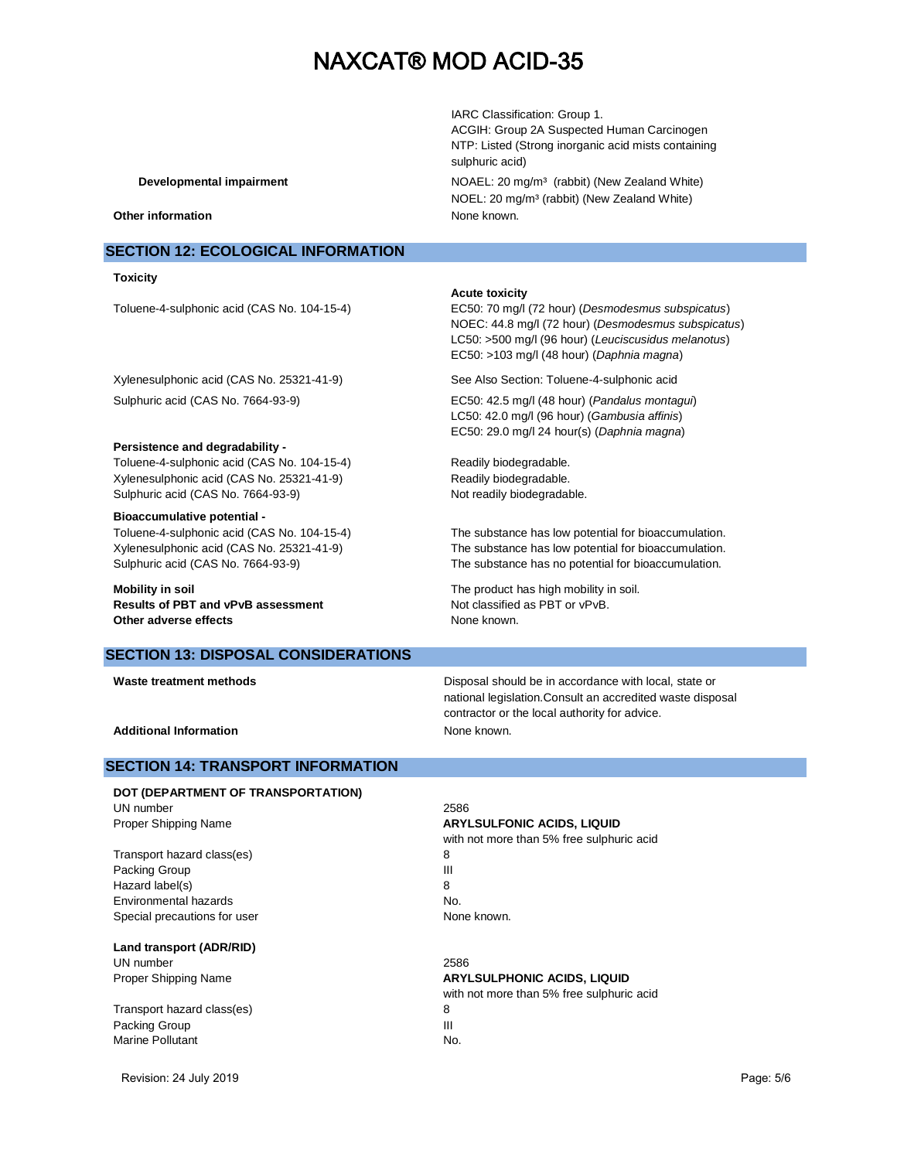IARC Classification: Group 1. ACGIH: Group 2A Suspected Human Carcinogen NTP: Listed (Strong inorganic acid mists containing sulphuric acid) **Developmental impairment** NOAEL: 20 mg/m<sup>3</sup> (rabbit) (New Zealand White) NOEL: 20 mg/m<sup>3</sup> (rabbit) (New Zealand White)

#### **Other information** None known.

# **SECTION 12: ECOLOGICAL INFORMATION**

#### **Toxicity**

#### **Acute toxicity**

Toluene-4-sulphonic acid (CAS No. 104-15-4) EC50: 70 mg/l (72 hour) (*Desmodesmus subspicatus*) NOEC: 44.8 mg/l (72 hour) (*Desmodesmus subspicatus*) LC50: >500 mg/l (96 hour) (*Leuciscusidus melanotus*) EC50: >103 mg/l (48 hour) (*Daphnia magna*)

> LC50: 42.0 mg/l (96 hour) (*Gambusia affinis*) EC50: 29.0 mg/l 24 hour(s) (*Daphnia magna*)

Xylenesulphonic acid (CAS No. 25321-41-9) See Also Section: Toluene-4-sulphonic acid

Sulphuric acid (CAS No. 7664-93-9) EC50: 42.5 mg/l (48 hour) (*Pandalus montagui*)

#### **Persistence and degradability -**

Toluene-4-sulphonic acid (CAS No. 104-15-4) Readily biodegradable. Xylenesulphonic acid (CAS No. 25321-41-9) Readily biodegradable. Sulphuric acid (CAS No. 7664-93-9) Not readily biodegradable.

#### **Bioaccumulative potential -**

Toluene-4-sulphonic acid (CAS No. 104-15-4) The substance has low potential for bioaccumulation. Xylenesulphonic acid (CAS No. 25321-41-9) The substance has low potential for bioaccumulation. Sulphuric acid (CAS No. 7664-93-9) The substance has no potential for bioaccumulation.

**Mobility in soil Mobility in soil.** The product has high mobility in soil. **Results of PBT and vPvB assessment** Not classified as PBT or vPvB. **Other adverse effects** and the state of the None known.

## **SECTION 13: DISPOSAL CONSIDERATIONS**

**Waste treatment methods** Disposal should be in accordance with local, state or national legislation.Consult an accredited waste disposal contractor or the local authority for advice.

**Additional Information** None known.

# **SECTION 14: TRANSPORT INFORMATION**

### **DOT (DEPARTMENT OF TRANSPORTATION)** UN number 2586 Proper Shipping Name **ARYLSULFONIC ACIDS, LIQUID**

Transport hazard class(es) 8 Packing Group **III** Hazard label(s) 8 Environmental hazards No. Special precautions for user None known.

**Land transport (ADR/RID)** UN number 2586

Transport hazard class(es) 8 Packing Group **III** Marine Pollutant No.

with not more than 5% free sulphuric acid

#### Proper Shipping Name **ARYLSULPHONIC ACIDS, LIQUID**

with not more than 5% free sulphuric acid

Revision: 24 July 2019 Page: 5/6